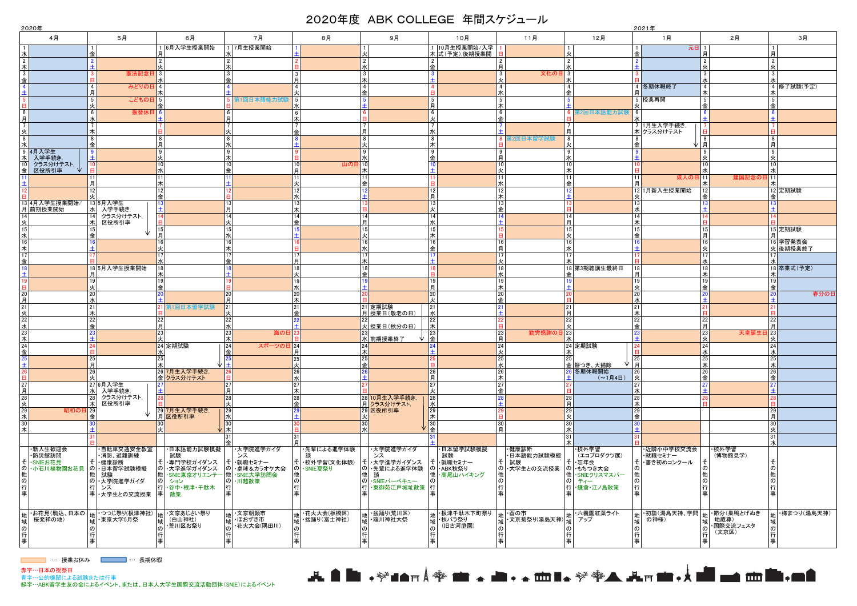| 2020年<br>2021年                |                                                                                             |                                     |                             |                     |                              |                      |                         |                     |                          |                            |                            |
|-------------------------------|---------------------------------------------------------------------------------------------|-------------------------------------|-----------------------------|---------------------|------------------------------|----------------------|-------------------------|---------------------|--------------------------|----------------------------|----------------------------|
| 4月                            | 5月                                                                                          | 6月                                  | 7月                          | 8月                  | 9月                           | 10月                  | 11月                     | 12月                 | 1月                       | 2月                         | 3月                         |
|                               |                                                                                             | 6月入学生授業開始                           | 7月生授業開始                     |                     |                              | 1 10月生授業開始/入学        |                         |                     | 元日                       |                            |                            |
| 水                             | 金                                                                                           |                                     |                             |                     |                              | 木 式(予定),後期授業開        |                         | 火                   | 金                        |                            |                            |
| $\overline{2}$                |                                                                                             | $\overline{2}$                      |                             |                     | $\mathfrak{p}$               |                      |                         | $\overline{2}$      |                          | $\overline{2}$             |                            |
| 木<br>$\mathbf{3}$             | 憲法記念E                                                                                       | l 3                                 |                             | -3                  | 3                            | l 金                  | 文化の日 3<br>$\mathcal{R}$ | 水                   |                          | -3                         |                            |
| 金                             |                                                                                             |                                     |                             | <b> 月</b>           |                              |                      |                         | l木                  |                          |                            |                            |
|                               | みどりのE<br>4                                                                                  | l 4                                 |                             | $\mathbf{A}$        | $\overline{4}$               |                      | $\mathbf{\Lambda}$      | $\overline{4}$      | 4 冬期休暇終了                 | $\overline{4}$             | 4 修了試験(予定)                 |
|                               |                                                                                             |                                     |                             |                     | 金                            |                      |                         | 金                   |                          | 木                          |                            |
|                               | 5 <sup>1</sup><br>こどもの日                                                                     | $\vert 5 \vert$                     | <b>第1回日本語能力試驗</b>           | $\vert 5 \vert$     |                              | -5<br>月              |                         |                     | 5 授業再開                   | 5<br>l金                    |                            |
| 6                             | 6<br>振替休日                                                                                   |                                     |                             | - 6                 |                              | 6                    | 6                       | <b>常2回日本語能力試験</b>   | 6                        |                            |                            |
|                               |                                                                                             |                                     |                             | l木                  |                              |                      |                         |                     |                          |                            |                            |
| $\overline{7}$                |                                                                                             |                                     |                             | l金                  | 月                            | 水                    |                         | 月                   | 7 1月生入学手続き,<br>木クラス分けテスト |                            |                            |
| 火<br>8                        | 8                                                                                           | 8                                   |                             |                     | 8                            | 8                    | 第2回日本留学試験               | 8                   |                          | 8                          |                            |
| 水                             | 金                                                                                           | 月                                   |                             |                     |                              | l木                   |                         |                     | 业Ⅰ月<br>金                 |                            |                            |
| 9 4月入学生<br><u>木</u> 入学手続き,    |                                                                                             | l 9                                 |                             |                     | 9                            | -9                   |                         | و ا                 |                          | 9                          |                            |
|                               |                                                                                             | I۸<br>10                            | 10 <sup>1</sup>             | 10<br>山の日 10        |                              | l金                   | 10 <sup>1</sup>         | 水<br>10             |                          |                            |                            |
| ・・・・・。。<br>クラス分けテスト,<br>区役所引率 |                                                                                             | lж                                  | 金                           | 月                   |                              |                      |                         | ౹⋇                  |                          |                            |                            |
|                               |                                                                                             | l 11                                |                             | 11                  |                              |                      |                         | 11                  | 11<br> 成人の日  11          | 建国記念の日                     |                            |
|                               | 月<br>12                                                                                     | l木<br>12                            |                             | 12                  | 金                            | 12                   | 12                      | Ⅰ金                  | 12 1月新入生授業開始             |                            | 12 定期試験                    |
|                               |                                                                                             | 金                                   |                             | 가                   |                              | 月                    |                         |                     |                          |                            |                            |
| 13 4月入学生授業開始/<br>月 前期授業開始     | <mark>5月入学生</mark><br>  入学手続き,                                                              |                                     |                             | 13                  |                              | 13                   |                         |                     | 13                       |                            |                            |
|                               | lжI<br>クラス分けテスト、                                                                            | ╶±                                  |                             | 木<br>14             | 14                           | 14                   |                         |                     | 14                       |                            |                            |
| 火                             | 区役所引率                                                                                       |                                     |                             | l 金                 | 月                            | 水                    |                         | 14<br>月             | 木                        |                            |                            |
| 15                            |                                                                                             |                                     |                             |                     | 15                           | 15                   |                         | 15                  | 15                       |                            | 15 定期試験                    |
| 水                             |                                                                                             | l F<br>l 16                         |                             |                     | 16                           | l木<br>16             |                         | 火<br>16             | 金                        | <b> 月</b><br>l 16          |                            |
| 16<br>木                       |                                                                                             | l火                                  |                             |                     |                              | 金                    | 16<br>月                 | 水                   |                          |                            | 16 学習発表会<br>火 後期授業終了       |
| 17                            |                                                                                             |                                     |                             |                     |                              |                      |                         | 17                  |                          |                            |                            |
| 金                             |                                                                                             |                                     |                             | 日                   |                              |                      |                         |                     |                          |                            |                            |
|                               | 18 5月入学生授業開始                                                                                | l木                                  |                             | l 18                | 18<br>金                      |                      |                         | 18 第3期聴講生最終日<br>金   | 18<br>月                  | 18<br>l木                   | 18 卒業式(予定)                 |
|                               | 19 <sup>1</sup>                                                                             | l 19                                |                             | 19                  |                              | 19                   |                         |                     | 19                       | 19                         |                            |
| E                             | 火                                                                                           | 金                                   |                             | 가                   |                              | 月                    |                         |                     | 火                        | 金                          |                            |
| 20<br>月                       | 20<br>水                                                                                     |                                     | <b>20</b>                   | 20<br>ま             |                              | 20<br>水              | 20<br>金                 |                     | 20<br>水                  |                            | 春分の日                       |
| 21                            | 21                                                                                          | 第1回日本留学試験                           | 21                          | 21                  | 21 定期試験                      | 21                   |                         | 21                  | 21                       |                            |                            |
| <u>火</u>                      | ౹≭                                                                                          |                                     |                             | 全                   | 月 授業日(敬老の日)                  | l ⁊k                 |                         | 月                   | 木                        |                            |                            |
| $\overline{22}$<br>水          | 22<br>金                                                                                     | $^{22}$ 月                           |                             |                     | 火 授業日(秋分の日)                  | ╹≭                   |                         | 22                  | 22<br>金                  | $^{22}$<br>l E             |                            |
| 23                            |                                                                                             | 23                                  | 海の日                         |                     |                              | 23                   | 勤労感謝の日 23<br>23         |                     |                          | 天皇誕生日<br>23                | 23                         |
| 木                             |                                                                                             | ار ا                                |                             |                     | 水 前期授業終了                     | 一金                   |                         |                     |                          |                            |                            |
| 24<br>金                       | <b>E</b>                                                                                    | 24 定期試験<br>水                        | 24<br>スポーツの日 24             | 月                   | 24<br> 木                     |                      | 24                      | 24 定期試験<br>౹≭       | 24                       | 24<br>冰                    | 24                         |
| 25                            | 25                                                                                          | 25                                  | <u> 金</u><br>$\overline{2}$ | 25                  | 25                           |                      | 25                      | 25                  | $\frac{1}{25}$           | 25                         | 25                         |
| $\pm$                         | 月                                                                                           | l木                                  |                             | 火                   | 金                            |                      |                         | 金餅つき、大掃除            | 一月                       | 木                          |                            |
| 26                            | 26                                                                                          | 26 7月生入学手続き,<br>金クラス分けテスト           |                             | 26                  |                              | 26<br>$\blacksquare$ | 26                      | 6 冬期休暇開始            | 26                       | 26<br>金                    |                            |
| 日<br>27                       | 27 6月入学生                                                                                    |                                     |                             | 水<br>27             |                              | 27                   | 27                      | (~1月4日)             | 27                       |                            |                            |
| 月                             | 入学手続き,<br>水                                                                                 |                                     |                             | 木                   |                              | 水                    |                         |                     | ж                        |                            |                            |
| 28                            | クラス分けテスト、<br>28                                                                             |                                     |                             | 28                  | 28 10月生入学手続き                 | 28                   |                         | 28<br>月             | 28                       |                            |                            |
| <u>火</u><br>29<br> 昭和の日  29   | 区役所引率<br> 木                                                                                 | 29 7月生入学手続き                         |                             | l 金                 | 月 クラス分けテスト,<br>29 区役所引率      | 水<br>29              |                         | 29                  | 木<br>29                  |                            |                            |
|                               |                                                                                             | 月区役所引率                              | <u> 水</u>                   |                     |                              | l木                   |                         | 「火                  | 金                        |                            |                            |
| 水 $30$                        |                                                                                             | l 30                                | 30                          |                     |                              | 30                   | 30 I                    | 30                  |                          |                            |                            |
| 木                             |                                                                                             |                                     | l 木<br>31                   | l 31                |                              | 一金                   | 日                       | lж<br>31            |                          |                            |                            |
|                               |                                                                                             |                                     |                             |                     |                              |                      |                         |                     |                          |                            |                            |
| ·新入生歓迎会                       | ·自転車交通安全教室                                                                                  | ・日本語能力試験模擬                          | ・大学院進学ガイダ                   | ・先輩による進学体験          | ・大学院進学ガイダ                    | ・日本留学試験模擬            | ·健康診断                   | ・校外学習               | ・近隣小中学校交流会               | ·校外学習                      |                            |
| ·防災館訪問<br>そ · SNIEお花見         | ・消防、避難訓練<br>そ ・健康診断                                                                         | 試験<br>・専門学校ガイダンス<br> そ              | ンス<br>・就職セミナー               | 談<br> そ ・校外学習(文化体験) | ンス<br>そ ・大学進学ガイダンス           | 試験<br>そ・就職セミナー       | ・日本語能力試験模擬<br>試験        | (エコプロダクツ展)<br>そ・忘年会 | ・就職セミナー<br>そ・書き初めコンクール   | (博物館見学)                    |                            |
| の小石川植物園お花見                    | の ・日本留学試験模擬                                                                                 | $\sigma$<br> ・大学進学ガイダンス             | の」・卓球&カラオケ大会                | の ・SNIE夏祭り          | の ・先輩による進学体験                 | の ・ABK秋祭り            | の ・大学生との交流授業            | ┃の┃・もちつき大会          |                          |                            |                            |
| 仳                             | 他<br>試験                                                                                     | 他 · SNIE東京オリエンテー 他 · SNIE大学訪問会      |                             |                     | 談                            | 他・高尾山ハイキング           |                         | 他 · SNIEクリスマスパー     |                          |                            |                            |
| o<br>行                        | ・大学院進学ガイダ<br>ンス                                                                             | $\mathcal{D}$<br>ション<br>行・谷中・根津・千駄木 | のト川越散策                      | l の                 | の ・SNIEバーベキュー<br>行·東御苑江戸城址散策 | 行                    |                         | のティー<br>行・鎌倉・江ノ島散策  | 行                        |                            |                            |
| 事                             | 事 ・大学生との交流授業  事  散策                                                                         |                                     |                             |                     |                              |                      |                         |                     | 車                        |                            |                            |
|                               |                                                                                             |                                     |                             |                     |                              |                      |                         |                     |                          |                            |                            |
|                               |                                                                                             | ・文京あじさい祭り                           | ·文京朝顔市                      | ・花火大会(板橋区)          | ・盆踊り(荒川区)                    | 地 · 根津千駄木下町祭り        | ・酉の市                    | √ 六義園紅葉ライト          | ₩ ・初詣 (湯島天神、学問           | │ <sub>₩</sub> │・節分(巣鴨とげぬき | <sub>Ht</sub>  ・梅まつり(湯島天神) |
|                               | お花見(駒込、日本の   <sub>地</sub>   つつじ祭り(根津神社)   地 <br>  桜発祥の地)             域  東京大学5月祭           域 | (白山神社)<br>域                         | ほおずき市<br><b>tat</b>         | ・盆踊り(富士神社)<br>域     | 一  簸川神社大祭                    | ・秋バラ祭り<br>域          | 1   文京菊祭り(湯島天神)         | アップ<br><b> 域</b>    | の神様)<br>퓂                | 地蔵尊)                       |                            |
| o.                            |                                                                                             | ・荒川区お祭り<br>の                        | ・花火大会(隅田川)                  |                     |                              | (旧古河庭園)<br>$\sigma$  |                         |                     |                          | ・国際交流フェスタ                  |                            |
|                               |                                                                                             | lŕ.                                 |                             |                     |                              |                      |                         | 「行                  | 行                        | (文京区)<br>l行                |                            |
|                               |                                                                                             | 事                                   |                             |                     |                              |                      |                         | 事                   | 事                        |                            |                            |

… 授業お休み … 長期休暇

赤字…日本の祝祭日

青字…公的機関による試験または行事

緑字…ABK留学生友の会によるイベント、または、日本人大学生国際交流活動団体(SNIE)によるイベント

| ۰, |  |
|----|--|
|    |  |



## 2020年度 ABK COLLEGE 年間スケジュール